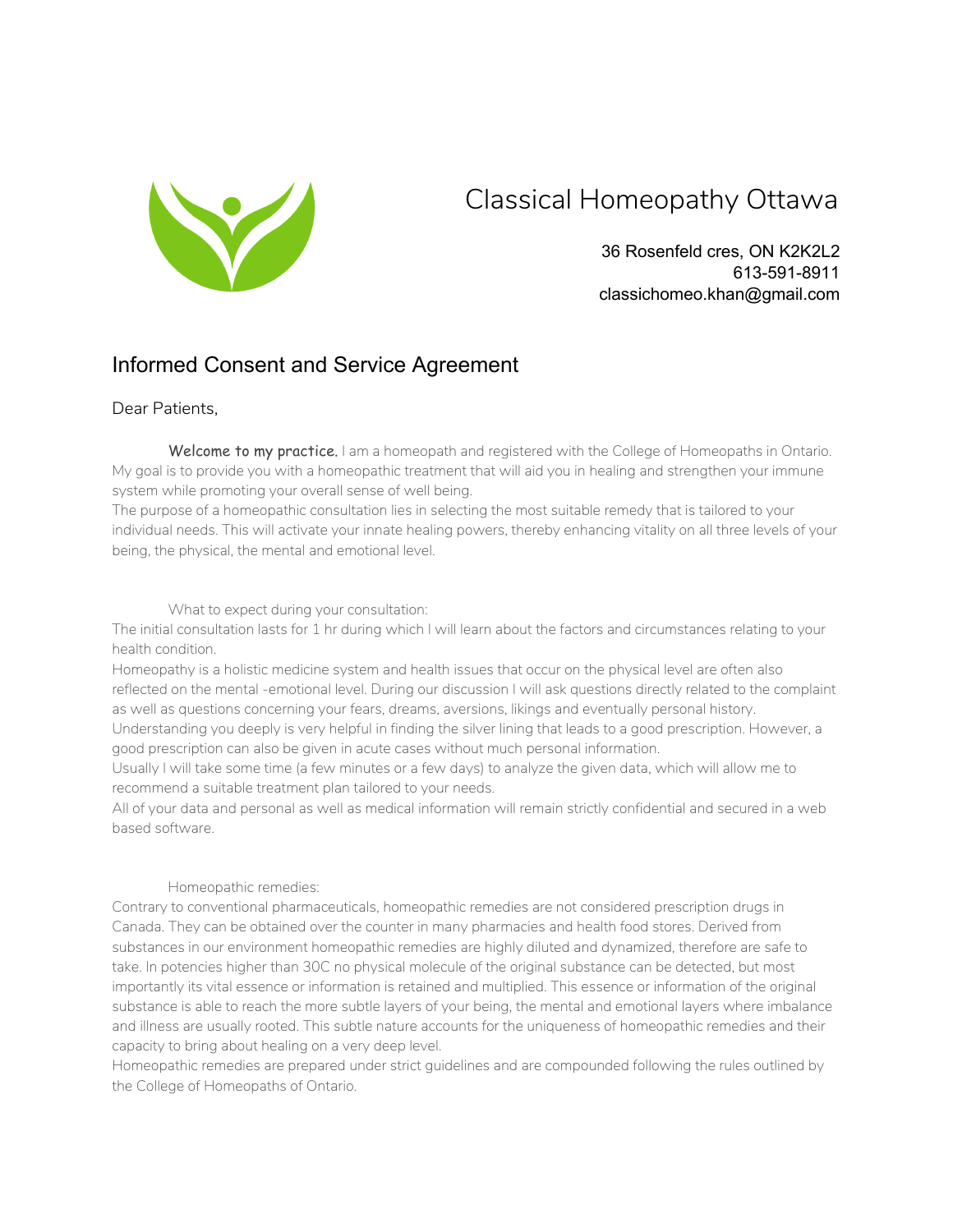

## Classical Homeopathy Ottawa

36 Rosenfeld cres, ON K2K2L2 613-591-8911 classichomeo.khan@gmail.com

## Informed Consent and Service Agreement

### Dear Patients,

Welcome to my practice. I am a homeopath and registered with the College of Homeopaths in Ontario. My goal is to provide you with a homeopathic treatment that will aid you in healing and strengthen your immune system while promoting your overall sense of well being.

The purpose of a homeopathic consultation lies in selecting the most suitable remedy that is tailored to your individual needs. This will activate your innate healing powers, thereby enhancing vitality on all three levels of your being, the physical, the mental and emotional level.

What to expect during your consultation:

The initial consultation lasts for 1 hr during which I will learn about the factors and circumstances relating to your health condition.

Homeopathy is a holistic medicine system and health issues that occur on the physical level are often also reflected on the mental -emotional level. During our discussion I will ask questions directly related to the complaint as well as questions concerning your fears, dreams, aversions, likings and eventually personal history.

Understanding you deeply is very helpful in finding the silver lining that leads to a good prescription. However, a good prescription can also be given in acute cases without much personal information.

Usually I will take some time (a few minutes or a few days) to analyze the given data, which will allow me to recommend a suitable treatment plan tailored to your needs.

All of your data and personal as well as medical information will remain strictly confidential and secured in a web based software.

#### Homeopathic remedies:

Contrary to conventional pharmaceuticals, homeopathic remedies are not considered prescription drugs in Canada. They can be obtained over the counter in many pharmacies and health food stores. Derived from substances in our environment homeopathic remedies are highly diluted and dynamized, therefore are safe to take. In potencies higher than 30C no physical molecule of the original substance can be detected, but most importantly its vital essence or information is retained and multiplied. This essence or information of the original substance is able to reach the more subtle layers of your being, the mental and emotional layers where imbalance and illness are usually rooted. This subtle nature accounts for the uniqueness of homeopathic remedies and their capacity to bring about healing on a very deep level.

Homeopathic remedies are prepared under strict guidelines and are compounded following the rules outlined by the College of Homeopaths of Ontario.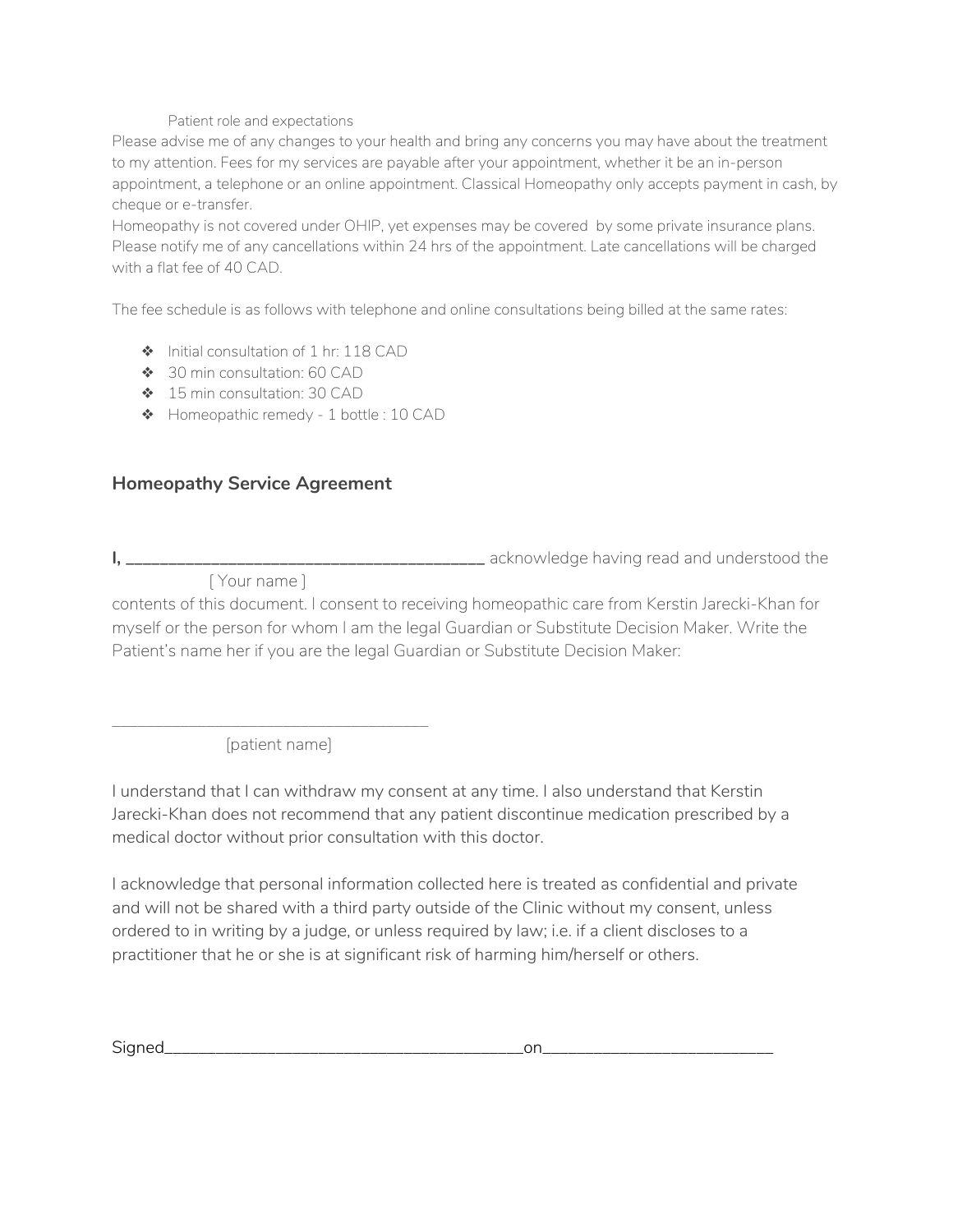#### Patient role and expectations

Please advise me of any changes to your health and bring any concerns you may have about the treatment to my attention. Fees for my services are payable after your appointment, whether it be an in-person appointment, a telephone or an online appointment. Classical Homeopathy only accepts payment in cash, by cheque or e-transfer.

Homeopathy is not covered under OHIP, yet expenses may be covered by some private insurance plans. Please notify me of any cancellations within 24 hrs of the appointment. Late cancellations will be charged with a flat fee of 40 CAD.

The fee schedule is as follows with telephone and online consultations being billed at the same rates:

- ❖ Initial consultation of 1 hr: 118 CAD
- ❖ 30 min consultation: 60 CAD
- ❖ 15 min consultation: 30 CAD
- ❖ Homeopathic remedy 1 bottle : 10 CAD

### **Homeopathy Service Agreement**

**I, \_\_\_\_\_\_\_\_\_\_\_\_\_\_\_\_\_\_\_\_\_\_\_\_\_\_\_\_\_\_\_\_\_\_\_\_\_\_\_\_\_\_** acknowledge having read and understood the

[ Your name ]

contents of this document. I consent to receiving homeopathic care from Kerstin Jarecki-Khan for myself or the person for whom I am the legal Guardian or Substitute Decision Maker. Write the Patient's name her if you are the legal Guardian or Substitute Decision Maker:

\_\_\_\_\_\_\_\_\_\_\_\_\_\_\_\_\_\_\_\_\_\_\_\_\_\_\_\_\_\_\_\_\_\_\_\_\_ [patient name]

I understand that I can withdraw my consent at any time. I also understand that Kerstin Jarecki-Khan does not recommend that any patient discontinue medication prescribed by a medical doctor without prior consultation with this doctor.

I acknowledge that personal information collected here is treated as confidential and private and will not be shared with a third party outside of the Clinic without my consent, unless ordered to in writing by a judge, or unless required by law; i.e. if a client discloses to a practitioner that he or she is at significant risk of harming him/herself or others.

Signed\_\_\_\_\_\_\_\_\_\_\_\_\_\_\_\_\_\_\_\_\_\_\_\_\_\_\_\_\_\_\_\_\_\_\_\_\_\_\_\_\_\_on\_\_\_\_\_\_\_\_\_\_\_\_\_\_\_\_\_\_\_\_\_\_\_\_\_\_\_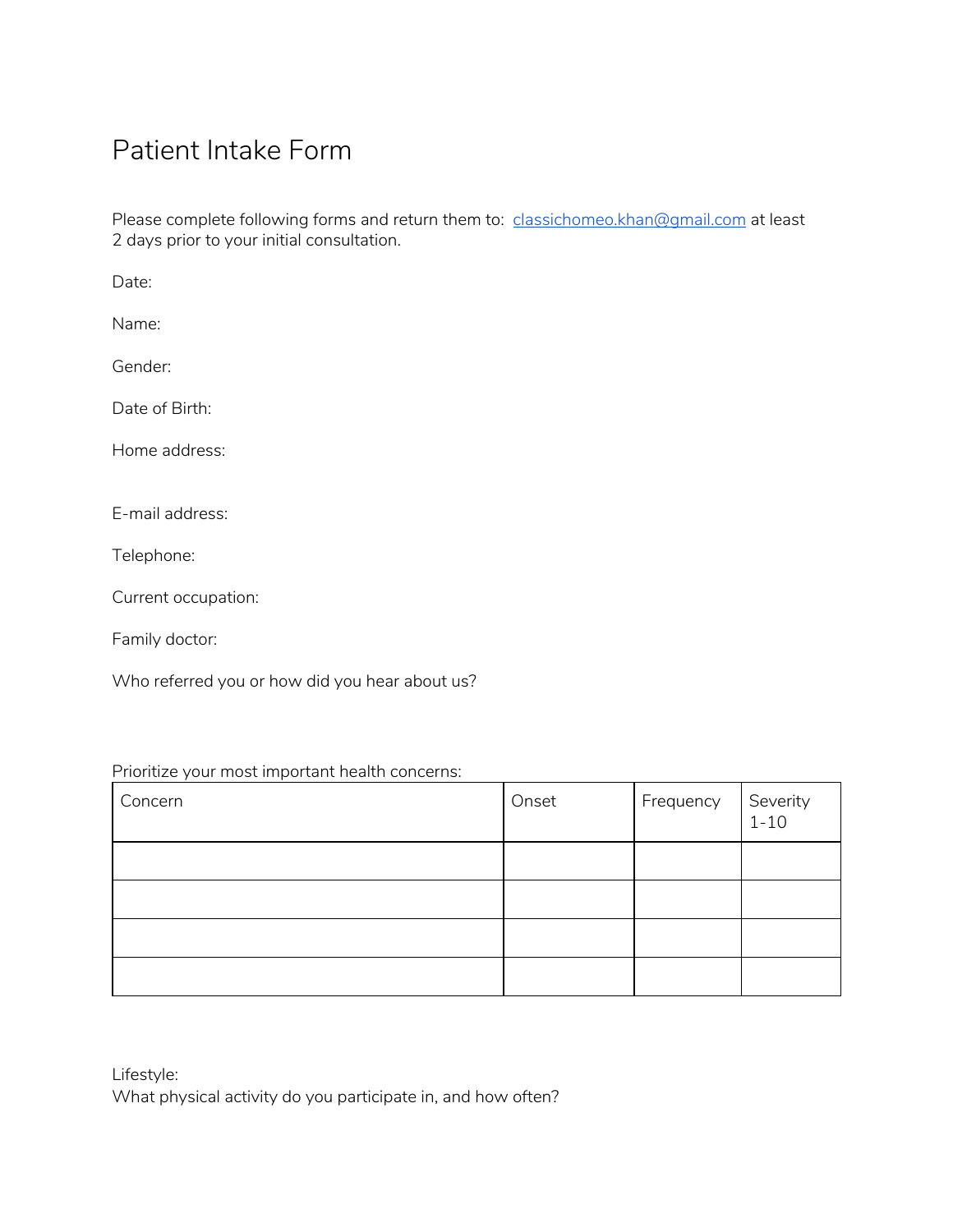# Patient Intake Form

Please complete following forms and return them to: [classichomeo.khan@gmail.com](mailto:classichomeo.khan@gmail.com) at least 2 days prior to your initial consultation.

Date:

Name:

Gender:

Date of Birth:

Home address:

E-mail address:

Telephone:

Current occupation:

Family doctor:

Who referred you or how did you hear about us?

### Prioritize your most important health concerns:

| Concern | Onset | Frequency | Severity<br>1-10 |
|---------|-------|-----------|------------------|
|         |       |           |                  |
|         |       |           |                  |
|         |       |           |                  |
|         |       |           |                  |

| Lifestyle:                                                   |
|--------------------------------------------------------------|
| What physical activity do you participate in, and how often? |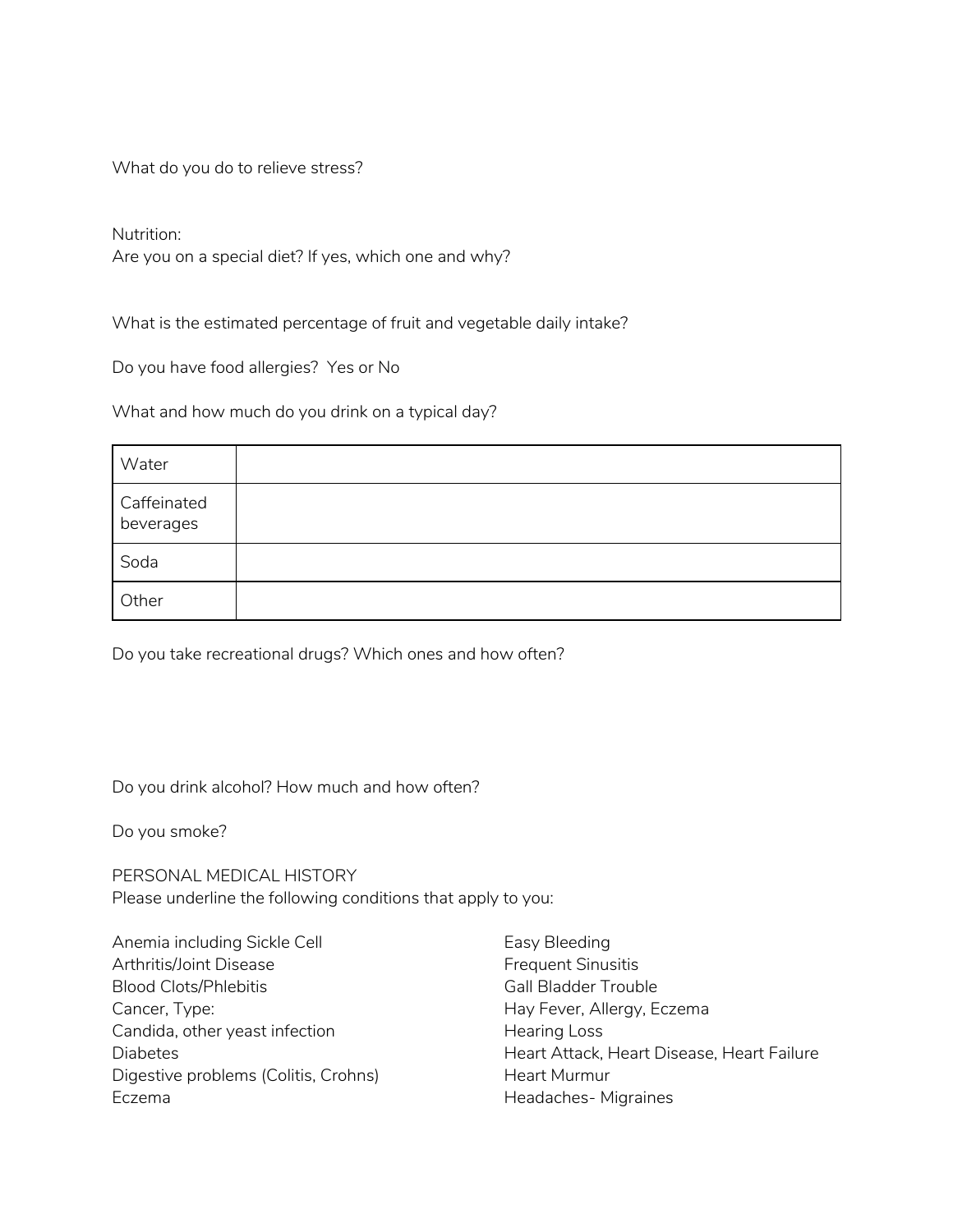What do you do to relieve stress?

Nutrition:

Are you on a special diet? If yes, which one and why?

What is the estimated percentage of fruit and vegetable daily intake?

Do you have food allergies? Yes or No

What and how much do you drink on a typical day?

| Water                    |  |
|--------------------------|--|
| Caffeinated<br>beverages |  |
| Soda                     |  |
| Other                    |  |

Do you take recreational drugs? Which ones and how often?

Do you drink alcohol? How much and how often?

Do you smoke?

PERSONAL MEDICAL HISTORY Please underline the following conditions that apply to you:

Anemia including Sickle Cell Arthritis/Joint Disease Blood Clots/Phlebitis Cancer, Type: Candida, other yeast infection Diabetes Digestive problems (Colitis, Crohns) Eczema

Easy Bleeding Frequent Sinusitis Gall Bladder Trouble Hay Fever, Allergy, Eczema Hearing Loss Heart Attack, Heart Disease, Heart Failure Heart Murmur Headaches- Migraines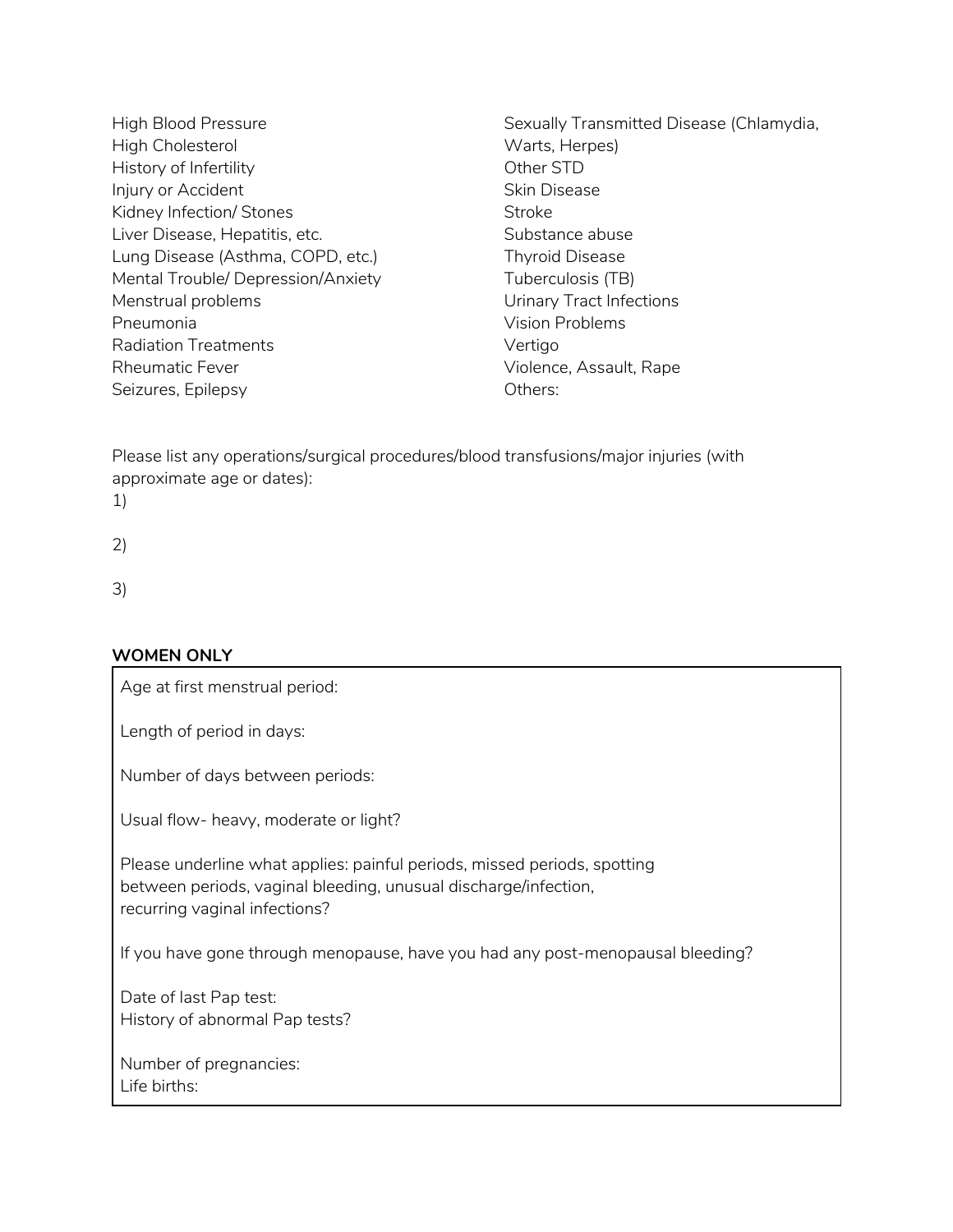- High Blood Pressure High Cholesterol History of Infertility Injury or Accident Kidney Infection/ Stones Liver Disease, Hepatitis, etc. Lung Disease (Asthma, COPD, etc.) Mental Trouble/ Depression/Anxiety Menstrual problems Pneumonia Radiation Treatments Rheumatic Fever Seizures, Epilepsy
- Sexually Transmitted Disease (Chlamydia, Warts, Herpes) Other STD Skin Disease **Stroke** Substance abuse Thyroid Disease Tuberculosis (TB) Urinary Tract Infections Vision Problems Vertigo Violence, Assault, Rape Others:

Please list any operations/surgical procedures/blood transfusions/major injuries (with approximate age or dates):

- 1)
- 2)

3)

## **WOMEN ONLY**

Age at first menstrual period:

Length of period in days:

Number of days between periods:

Usual flow- heavy, moderate or light?

Please underline what applies: painful periods, missed periods, spotting between periods, vaginal bleeding, unusual discharge/infection, recurring vaginal infections?

If you have gone through menopause, have you had any post-menopausal bleeding?

Date of last Pap test: History of abnormal Pap tests?

Number of pregnancies: Life births: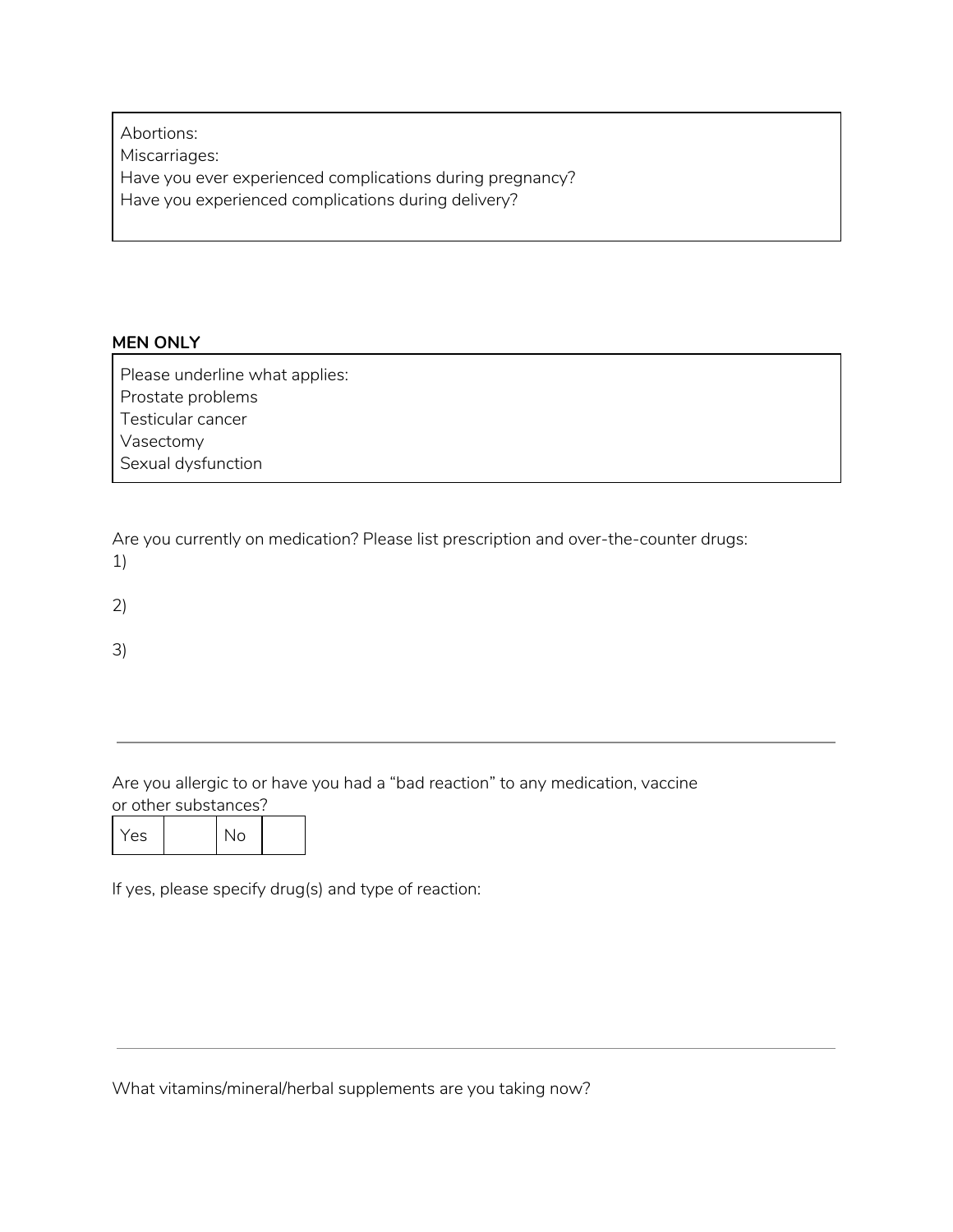Abortions: Miscarriages: Have you ever experienced complications during pregnancy? Have you experienced complications during delivery?

### **MEN ONLY**

Please underline what applies: Prostate problems Testicular cancer Vasectomy Sexual dysfunction

Are you currently on medication? Please list prescription and over-the-counter drugs: 1)

2)

3)

Are you allergic to or have you had a "bad reaction" to any medication, vaccine or other substances?

|--|

If yes, please specify drug(s) and type of reaction:

What vitamins/mineral/herbal supplements are you taking now?